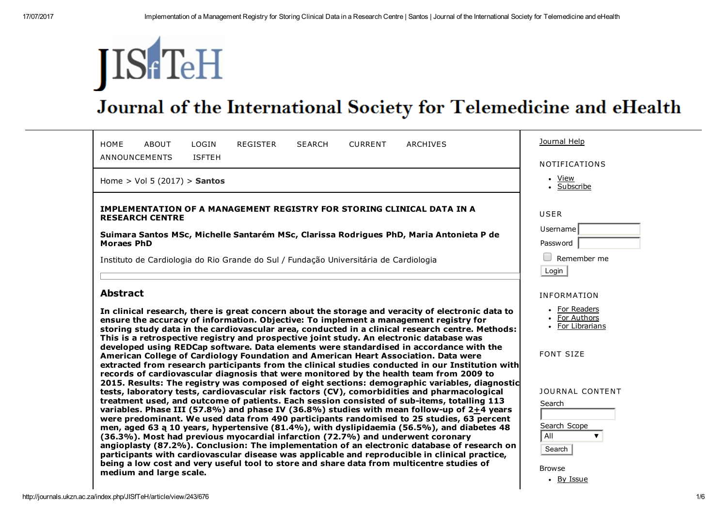# **JIS** TeH

## Journal of the International Society for Telemedicine and eHealth

| LOGIN<br><b>HOME</b><br>ABOUT<br>REGISTER<br><b>CURRENT</b><br>ARCHIVES<br><b>SEARCH</b><br><b>ISFTEH</b><br>ANNOUNCEMENTS                                                                                                                                                                                                                                                                                                                                                                                                                                              | Journal Help<br><b>NOTIFICATIONS</b>                    |  |
|-------------------------------------------------------------------------------------------------------------------------------------------------------------------------------------------------------------------------------------------------------------------------------------------------------------------------------------------------------------------------------------------------------------------------------------------------------------------------------------------------------------------------------------------------------------------------|---------------------------------------------------------|--|
| Home > Vol 5 $(2017)$ > Santos                                                                                                                                                                                                                                                                                                                                                                                                                                                                                                                                          | • View<br>• Subscribe                                   |  |
| IMPLEMENTATION OF A MANAGEMENT REGISTRY FOR STORING CLINICAL DATA IN A<br><b>RESEARCH CENTRE</b>                                                                                                                                                                                                                                                                                                                                                                                                                                                                        | <b>USER</b>                                             |  |
| Suimara Santos MSc, Michelle Santarém MSc, Clarissa Rodrigues PhD, Maria Antonieta P de<br><b>Moraes PhD</b>                                                                                                                                                                                                                                                                                                                                                                                                                                                            | Username<br>Password                                    |  |
| Instituto de Cardiologia do Rio Grande do Sul / Fundação Universitária de Cardiologia                                                                                                                                                                                                                                                                                                                                                                                                                                                                                   | Remember me<br>Login                                    |  |
| <b>Abstract</b>                                                                                                                                                                                                                                                                                                                                                                                                                                                                                                                                                         | <b>INFORMATION</b>                                      |  |
| In clinical research, there is great concern about the storage and veracity of electronic data to<br>ensure the accuracy of information. Objective: To implement a management registry for<br>storing study data in the cardiovascular area, conducted in a clinical research centre. Methods:<br>This is a retrospective registry and prospective joint study. An electronic database was                                                                                                                                                                              | • For Readers<br>• For Authors<br>• For Librarians      |  |
| developed using REDCap software. Data elements were standardised in accordance with the<br>American College of Cardiology Foundation and American Heart Association. Data were<br>extracted from research participants from the clinical studies conducted in our Institution with<br>records of cardiovascular diagnosis that were monitored by the health team from 2009 to<br>2015. Results: The registry was composed of eight sections: demographic variables, diagnostic                                                                                          | <b>FONT SIZE</b>                                        |  |
| tests, laboratory tests, cardiovascular risk factors (CV), comorbidities and pharmacological<br>treatment used, and outcome of patients. Each session consisted of sub-items, totalling 113<br>variables. Phase III (57.8%) and phase IV (36.8%) studies with mean follow-up of 2+4 years<br>were predominant. We used data from 490 participants randomised to 25 studies, 63 percent<br>men, aged 63 a 10 years, hypertensive (81.4%), with dyslipidaemia (56.5%), and diabetes 48<br>(36.3%). Most had previous myocardial infarction (72.7%) and underwent coronary | <b>JOURNAL CONTENT</b><br>Search<br>Search Scope<br>All |  |
| angioplasty (87.2%). Conclusion: The implementation of an electronic database of research on<br>participants with cardiovascular disease was applicable and reproducible in clinical practice,<br>being a low cost and very useful tool to store and share data from multicentre studies of                                                                                                                                                                                                                                                                             | Search                                                  |  |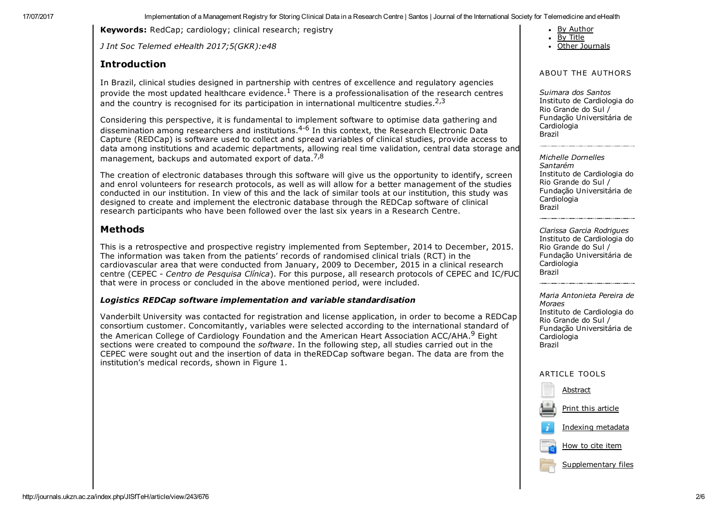17/07/2017 **Implementation of a Management Registry for Storing Clinical Data in a Research Centre I Santos | Journal of the International Society for Telemedicine and eHealth** 

Keywords: RedCap; cardiology; clinical research; registry

*J Int Soc Telemed eHealth 2017;5(GKR):e48*

#### Introduction

By [Author](http://journals.ukzn.ac.za/index.php/JISfTeH/search/authors)

- By [Title](http://journals.ukzn.ac.za/index.php/JISfTeH/search/titles)
- Other [Journals](http://journals.ukzn.ac.za/index.php/index)

#### ABOUT THE AUTHORS

*Suimara dos Santos* Instituto de Cardiologia do Rio Grande do Sul / Fundação Universitária de Cardiologia Brazil

*Michelle Dornelles Santarém* Instituto de Cardiologia do Rio Grande do Sul / Fundação Universitária de Cardiologia Brazil

*Clarissa Garcia Rodrigues* Instituto de Cardiologia do Rio Grande do Sul / Fundação Universitária de **Cardiologia** Brazil

*Maria Antonieta Pereira de Moraes* Instituto de Cardiologia do Rio Grande do Sul / Fundação Universitária de Cardiologia Brazil

#### ARTICLE TOOLS



In Brazil, clinical studies designed in partnership with centres of excellence and regulatory agencies provide the most updated healthcare evidence.<sup>1</sup> There is a professionalisation of the research centres and the country is recognised for its participation in international multicentre studies.<sup>2,3</sup>

Considering this perspective, it is fundamental to implement software to optimise data gathering and dissemination among researchers and institutions.<sup>4-6</sup> In this context, the Research Electronic Data Capture (REDCap) is software used to collect and spread variables of clinical studies, provide access to data among institutions and academic departments, allowing real time validation, central data storage and management, backups and automated export of data.<sup>7,8</sup>

The creation of electronic databases through this software will give us the opportunity to identify, screen and enrol volunteers for research protocols, as well as will allow for a better management of the studies conducted in our institution. In view of this and the lack of similar tools at our institution, this study was designed to create and implement the electronic database through the REDCap software of clinical research participants who have been followed over the last six years in a Research Centre.

#### Methods

This is a retrospective and prospective registry implemented from September, 2014 to December, 2015. The information was taken from the patients' records of randomised clinical trials (RCT) in the cardiovascular area that were conducted from January, 2009 to December, 2015 in a clinical research centre (CEPEC *Centro de Pesquisa Clínica*). For this purpose, all research protocols of CEPEC and IC/FUC that were in process or concluded in the above mentioned period, were included.

#### *Logistics REDCap software implementation and variable standardisation*

Vanderbilt University was contacted for registration and license application, in order to become a REDCap consortium customer. Concomitantly, variables were selected according to the international standard of the American College of Cardiology Foundation and the American Heart Association ACC/AHA.<sup>9</sup> Eight sections were created to compound the *software*. In the following step, all studies carried out in the CEPEC were sought out and the insertion of data in theREDCap software began. The data are from the institution's medical records, shown in Figure 1.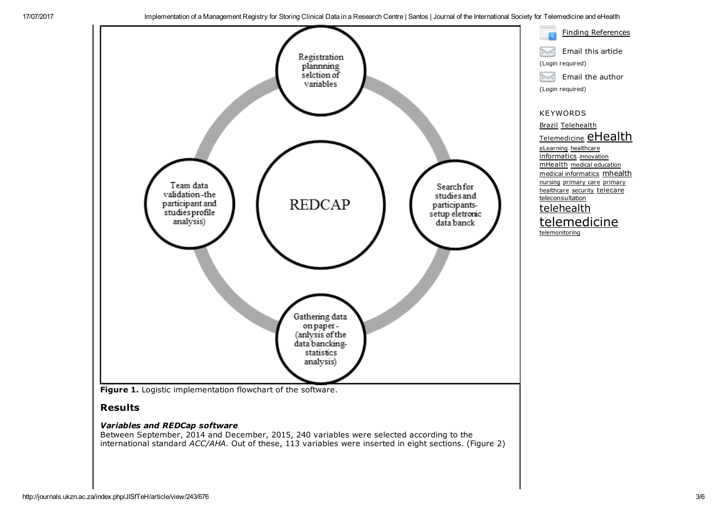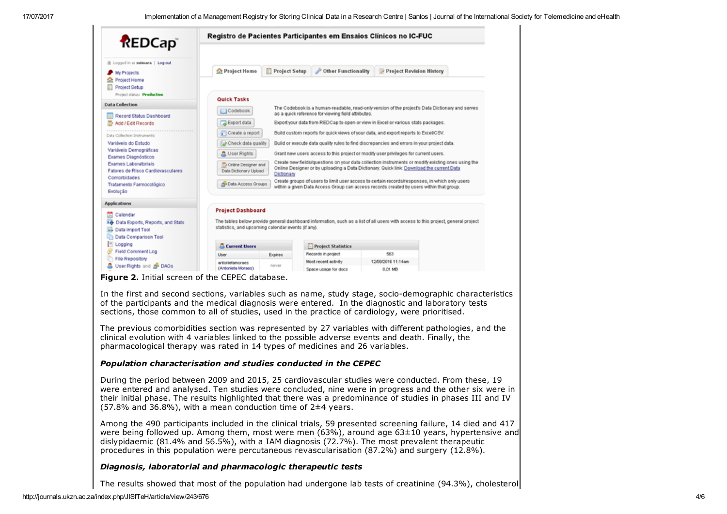| <b>REDCap</b>                                                                                                  |                                                                                                                                                                                                                                                                                                                                                                              | Registro de Pacientes Participantes em Ensaios Clínicos no IC-FUC                               |                                                                                                 |                          |  |  |
|----------------------------------------------------------------------------------------------------------------|------------------------------------------------------------------------------------------------------------------------------------------------------------------------------------------------------------------------------------------------------------------------------------------------------------------------------------------------------------------------------|-------------------------------------------------------------------------------------------------|-------------------------------------------------------------------------------------------------|--------------------------|--|--|
| @ Logged in as selesses   Log out<br>My Projects<br>Project Home<br>Project Setup<br>вa                        | Project Home                                                                                                                                                                                                                                                                                                                                                                 | <b>Project Setup</b>                                                                            | Other Functionality                                                                             | Project Revision History |  |  |
| Project status: Preduction                                                                                     | <b>Quick Tasks</b>                                                                                                                                                                                                                                                                                                                                                           |                                                                                                 |                                                                                                 |                          |  |  |
| <b>Data Collection</b>                                                                                         | [ Codebook                                                                                                                                                                                                                                                                                                                                                                   |                                                                                                 | The Codebook is a human-readable, read-only version of the project's Data Dictionary and serves |                          |  |  |
| Record Status Dashboard                                                                                        | as a quick reference for viewing field attributes.                                                                                                                                                                                                                                                                                                                           |                                                                                                 |                                                                                                 |                          |  |  |
| Add / Edit Records                                                                                             |                                                                                                                                                                                                                                                                                                                                                                              | Export data<br>Export your data from REDCap to open or view in Excel or various stats packages. |                                                                                                 |                          |  |  |
| Data Collection Instruments:                                                                                   | Create a report<br>Build custom reports for quick views of your data, and export reports to Excel/CSV.                                                                                                                                                                                                                                                                       |                                                                                                 |                                                                                                 |                          |  |  |
| Variáveis do Estudo                                                                                            | Check data quality<br>Build or execute data quality rules to find discrepancies and errors in your project data.                                                                                                                                                                                                                                                             |                                                                                                 |                                                                                                 |                          |  |  |
| Variáveis Demográficas<br>Exames Diagnósticos                                                                  | <b>A</b> User Rights<br>Grant new users access to this project or modify user privileges for current users.<br>Create new fields/questions on your data collection instruments or modify existing ones using the<br>Chiline Designer and<br>Online Designer or by uploading a Data Dictionary. Quick link: Download the current Data<br>Data Dictionary Upload<br>Dictionary |                                                                                                 |                                                                                                 |                          |  |  |
| Exames Laboratoriais<br>Fatores de Risco Cardiovasculares                                                      |                                                                                                                                                                                                                                                                                                                                                                              |                                                                                                 |                                                                                                 |                          |  |  |
| Comorbidades<br>Tratamento Farmocológico<br>Evolução                                                           | Create groups of users to limit user access to certain records/responses, in which only users<br><b>Data Access Groups</b><br>within a given Data Access Group can access records created by users within that group.                                                                                                                                                        |                                                                                                 |                                                                                                 |                          |  |  |
| <b>Applications</b>                                                                                            |                                                                                                                                                                                                                                                                                                                                                                              |                                                                                                 |                                                                                                 |                          |  |  |
| m<br>Calendar<br><b>Id</b> Data Exports, Reports, and Stats<br>Data Import Tool<br><b>Data Comparison Tool</b> | <b>Project Dashboard</b><br>The tables below provide general dashboard information, such as a list of all users with access to this project, general project<br>statistics, and upcoming calendar events (if any).                                                                                                                                                           |                                                                                                 |                                                                                                 |                          |  |  |
| <b>Logging</b>                                                                                                 | Current Users                                                                                                                                                                                                                                                                                                                                                                |                                                                                                 | <b>Project Statistics</b>                                                                       |                          |  |  |
| Field Comment Log                                                                                              | Liser                                                                                                                                                                                                                                                                                                                                                                        | Expires                                                                                         | Records in project                                                                              | 563                      |  |  |
| File Repository<br><b>品 User Rights and di- DAGs</b>                                                           | antonietamoraes                                                                                                                                                                                                                                                                                                                                                              | never                                                                                           | Most recent activity                                                                            | 12/09/2016 11:14am       |  |  |
|                                                                                                                | (Antonieta Moraes)                                                                                                                                                                                                                                                                                                                                                           |                                                                                                 | Space usage for docs                                                                            | 0.01 MB                  |  |  |

**Figure 2.** Initial screen of the CEPEC database.

In the first and second sections, variables such as name, study stage, socio-demographic characteristics of the participants and the medical diagnosis were entered. In the diagnostic and laboratory tests sections, those common to all of studies, used in the practice of cardiology, were prioritised.

The previous comorbidities section was represented by 27 variables with different pathologies, and the clinical evolution with 4 variables linked to the possible adverse events and death. Finally, the pharmacological therapy was rated in 14 types of medicines and 26 variables.

#### *Population characterisation and studies conducted in the CEPEC*

During the period between 2009 and 2015, 25 cardiovascular studies were conducted. From these, 19 were entered and analysed. Ten studies were concluded, nine were in progress and the other six were in their initial phase. The results highlighted that there was a predominance of studies in phases III and IV  $(57.8\%$  and 36.8%), with a mean conduction time of 2 $\pm$ 4 years.

Among the 490 participants included in the clinical trials, 59 presented screening failure, 14 died and 417 were being followed up. Among them, most were men (63%), around age 63±10 years, hypertensive and dislypidaemic (81.4% and 56.5%), with a IAM diagnosis (72.7%). The most prevalent therapeutic procedures in this population were percutaneous revascularisation (87.2%) and surgery (12.8%).

#### *Diagnosis, laboratorial and pharmacologic therapeutic tests*

The results showed that most of the population had undergone lab tests of creatinine (94.3%), cholesterol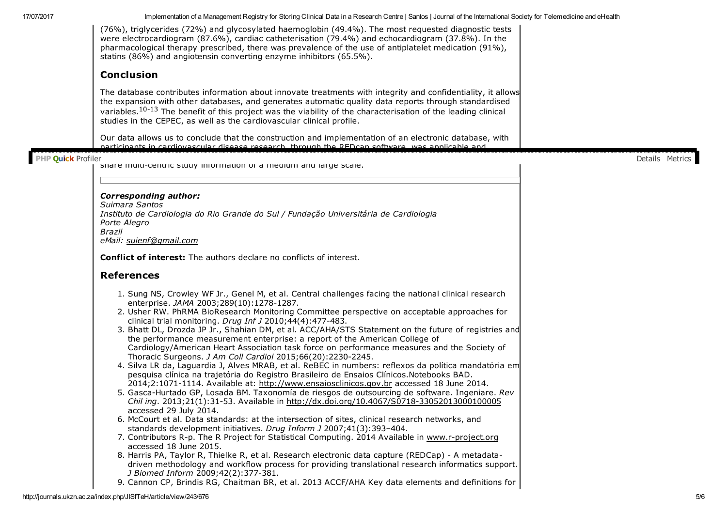(76%), triglycerides (72%) and glycosylated haemoglobin (49.4%). The most requested diagnostic tests were electrocardiogram (87.6%), cardiac catheterisation (79.4%) and echocardiogram (37.8%). In the pharmacological therapy prescribed, there was prevalence of the use of antiplatelet medication (91%), statins (86%) and angiotensin converting enzyme inhibitors (65.5%).

#### Conclusion

The database contributes information about innovate treatments with integrity and confidentiality, it allows the expansion with other databases, and generates automatic quality data reports through standardised variables.<sup>10-13</sup> The benefit of this project was the viability of the characterisation of the leading clinical studies in the CEPEC, as well as the cardiovascular clinical profile.

Our data allows us to conclude that the construction and implementation of an electronic database, with participants in cardiovascular disease research, through the REDcap software*,* was applicable and

#### reproduced in clinical practice. It has shown that it is a low cost tool and it is of great use to store and i

PHP Quick Profiler<br>Share multicentric study information or a medium and large scale.

#### *Corresponding author:*

*Suimara Santos Instituto de Cardiologia do Rio Grande do Sul / Fundação Universitária de Cardiologia Porte Alegro Brazil eMail: [suienf@gmail.com](mailto:suienf@gmail.com)*

Conflict of interest: The authors declare no conflicts of interest.

#### References

- 1. Sung NS, Crowley WF Jr., Genel M, et al. Central challenges facing the national clinical research enterprise. *JAMA* 2003;289(10):1278-1287.
- 2. Usher RW. PhRMA BioResearch Monitoring Committee perspective on acceptable approaches for clinical trial monitoring. *Drug Inf J* 2010;44(4):477483.
- 3. Bhatt DL, Drozda JP Jr., Shahian DM, et al. ACC/AHA/STS Statement on the future of registries and the performance measurement enterprise: a report of the American College of Cardiology/American Heart Association task force on performance measures and the Society of Thoracic Surgeons. *J Am Coll Cardiol* 2015;66(20):22302245.
- 4. Silva LR da, Laguardia J, Alves MRAB, et al. ReBEC in numbers: reflexos da política mandatória em pesquisa clínica na trajetória do Registro Brasileiro de Ensaios Clínicos.Notebooks BAD. 2014;2:10711114. Available at: [http://www.ensaiosclinicos.gov.br](http://www.ensaiosclinicos.gov.br/) accessed 18 June 2014.
- 5. GascaHurtado GP, Losada BM. Taxonomía de riesgos de outsourcing de software. Ingeniare. *Rev Chil ing*. 2013;21(1):3153. Available in [http://dx.doi.org/10.4067/S071833052013000100005](http://dx.doi.org/10.4067/S0718-33052013000100005) accessed 29 July 2014.
- 6. McCourt et al. Data standards: at the intersection of sites, clinical research networks, and standards development initiatives. *Drug Inform J* 2007;41(3):393–404.
- 7. Contributors R-p. The R Project for Statistical Computing. 2014 Available in www.r-project.org accessed 18 June 2015.
- 8. Harris PA, Taylor R, Thielke R, et al. Research electronic data capture (REDCap) A metadatadriven methodology and workflow process for providing translational research informatics support. *J* Biomed *Inform* 2009;42(2):377-381.
- 9. Cannon CP, Brindis RG, Chaitman BR, et al. 2013 ACCF/AHA Key data elements and definitions for